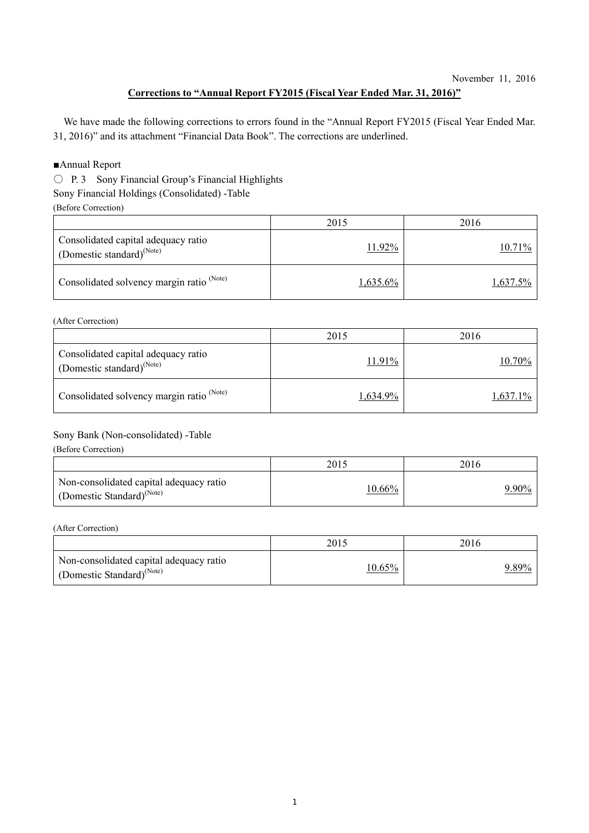### **Corrections to "Annual Report FY2015 (Fiscal Year Ended Mar. 31, 2016)"**

We have made the following corrections to errors found in the "Annual Report FY2015 (Fiscal Year Ended Mar. 31, 2016)" and its attachment "Financial Data Book". The corrections are underlined.

#### ■Annual Report

○ P. 3 Sony Financial Group's Financial Highlights

Sony Financial Holdings (Consolidated) -Table

(Before Correction)

|                                                                        | 2015        | 2016     |
|------------------------------------------------------------------------|-------------|----------|
| Consolidated capital adequacy ratio<br>(Domestic standard) $^{(Note)}$ | 11.92%      | 10.71%   |
| Consolidated solvency margin ratio <sup>(Note)</sup>                   | $1,635.6\%$ | 1,637.5% |

(After Correction)

|                                                                        | 2015     | 2016     |
|------------------------------------------------------------------------|----------|----------|
| Consolidated capital adequacy ratio<br>(Domestic standard) $^{(Note)}$ | 11.91%   | 10.70%   |
| Consolidated solvency margin ratio <sup>(Note)</sup>                   | 1,634.9% | 1,637.1% |

#### Sony Bank (Non-consolidated) -Table

(Before Correction)

|                                                                                  | 2015      | 2016         |
|----------------------------------------------------------------------------------|-----------|--------------|
| Non-consolidated capital adequacy ratio<br>(Domestic Standard) <sup>(Note)</sup> | $10.66\%$ | <u>9.90%</u> |

#### (After Correction)

|                                                                                  | 2015      | 2016  |
|----------------------------------------------------------------------------------|-----------|-------|
| Non-consolidated capital adequacy ratio<br>(Domestic Standard) <sup>(Note)</sup> | $10.65\%$ | 9.89% |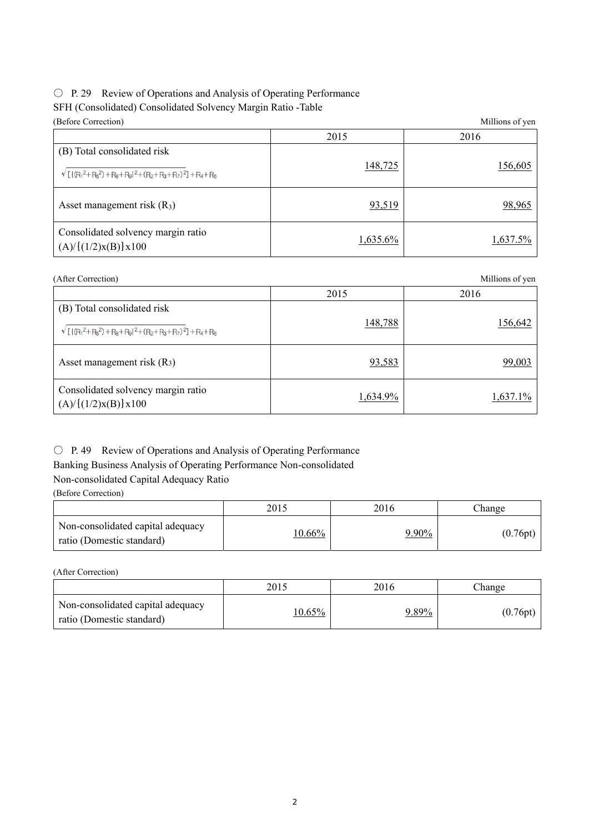# ○ P. 29 Review of Operations and Analysis of Operating Performance

## SFH (Consolidated) Consolidated Solvency Margin Ratio -Table

| (Before Correction)                                                                        |             | Millions of yen |
|--------------------------------------------------------------------------------------------|-------------|-----------------|
|                                                                                            | 2015        | 2016            |
| (B) Total consolidated risk<br>$\sqrt{[(R_1^2+R_5^2)+R_8+R_9]^2+(R_2+R_3+R_7)^2]+R_4+R_6}$ | 148,725     | <u>156,605</u>  |
| Asset management risk $(R_3)$                                                              | 93,519      | 98,965          |
| Consolidated solvency margin ratio<br>(A)/((1/2)x(B))x100                                  | $1,635.6\%$ | $1,637.5\%$     |

| Consolidated solvency margin ratio<br>$(A)/\{(1/2)x(B)\}x100$ | $1,635.6\%$ | $1,637.5\%$     |
|---------------------------------------------------------------|-------------|-----------------|
| (After Correction)                                            |             | Millions of yen |
|                                                               | 2015        | 2016            |
| (B) Total consolidated risk                                   | 148,788     | 156,642         |
| $\sqrt{[(R_1^2+R_5^2)+R_8+R_9]^2+(R_2+R_3+R_7)^2]+R_4+R_6}$   |             |                 |

| Asset management risk $(R3)$                                  | 93,583   | 99,003   |
|---------------------------------------------------------------|----------|----------|
| Consolidated solvency margin ratio<br>$(A)/\{(1/2)x(B)\}x100$ | 1,634.9% | 1,637.1% |

## ○ P. 49 Review of Operations and Analysis of Operating Performance

Banking Business Analysis of Operating Performance Non-consolidated

## Non-consolidated Capital Adequacy Ratio

(Before Correction)

|                                                                | 2015      | 2016     | Change   |
|----------------------------------------------------------------|-----------|----------|----------|
| Non-consolidated capital adequacy<br>ratio (Domestic standard) | $10.66\%$ | $9.90\%$ | (0.76pt) |

(After Correction)

|                                                                | 2015      | 2016     | Change   |
|----------------------------------------------------------------|-----------|----------|----------|
| Non-consolidated capital adequacy<br>ratio (Domestic standard) | $10.65\%$ | $9.89\%$ | (0.76pt) |